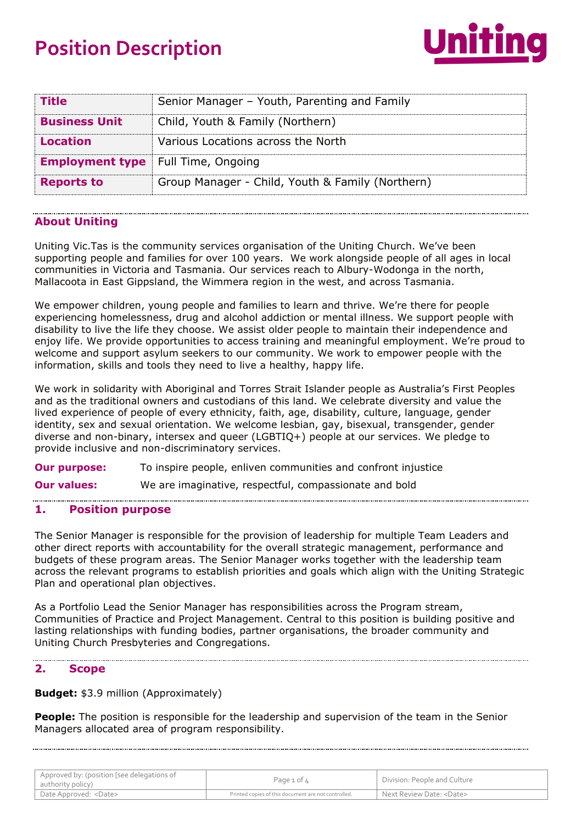# **Position Description**



| <b>Title</b>           | Senior Manager - Youth, Parenting and Family     |
|------------------------|--------------------------------------------------|
| <b>Business Unit</b>   | Child, Youth & Family (Northern)                 |
| <b>Location</b>        | Various Locations across the North               |
| <b>Employment type</b> | Full Time, Ongoing                               |
| <b>Reports to</b>      | Group Manager - Child, Youth & Family (Northern) |

## **About Uniting**

Uniting Vic.Tas is the community services organisation of the Uniting Church. We've been supporting people and families for over 100 years. We work alongside people of all ages in local communities in Victoria and Tasmania. Our services reach to Albury-Wodonga in the north, Mallacoota in East Gippsland, the Wimmera region in the west, and across Tasmania.

We empower children, young people and families to learn and thrive. We're there for people experiencing homelessness, drug and alcohol addiction or mental illness. We support people with disability to live the life they choose. We assist older people to maintain their independence and enjoy life. We provide opportunities to access training and meaningful employment. We're proud to welcome and support asylum seekers to our community. We work to empower people with the information, skills and tools they need to live a healthy, happy life.

We work in solidarity with Aboriginal and Torres Strait Islander people as Australia's First Peoples and as the traditional owners and custodians of this land. We celebrate diversity and value the lived experience of people of every ethnicity, faith, age, disability, culture, language, gender identity, sex and sexual orientation. We welcome lesbian, gay, bisexual, transgender, gender diverse and non-binary, intersex and queer (LGBTIQ+) people at our services. We pledge to provide inclusive and non-discriminatory services.

**Our purpose:** To inspire people, enliven communities and confront injustice

**Our values:** We are imaginative, respectful, compassionate and bold

## **1. Position purpose**

The Senior Manager is responsible for the provision of leadership for multiple Team Leaders and other direct reports with accountability for the overall strategic management, performance and budgets of these program areas. The Senior Manager works together with the leadership team across the relevant programs to establish priorities and goals which align with the Uniting Strategic Plan and operational plan objectives.

As a Portfolio Lead the Senior Manager has responsibilities across the Program stream, Communities of Practice and Project Management. Central to this position is building positive and lasting relationships with funding bodies, partner organisations, the broader community and Uniting Church Presbyteries and Congregations.

## **2. Scope**

**Budget:** \$3.9 million (Approximately)

**People:** The position is responsible for the leadership and supervision of the team in the Senior Managers allocated area of program responsibility.

| Approved by: (position [see delegations of<br>authority policy) | Page $1$ of $4$                                     | Division: People and Culture    |
|-----------------------------------------------------------------|-----------------------------------------------------|---------------------------------|
| Date Approved: <date></date>                                    | Printed copies of this document are not controlled. | Next Review Date: <date></date> |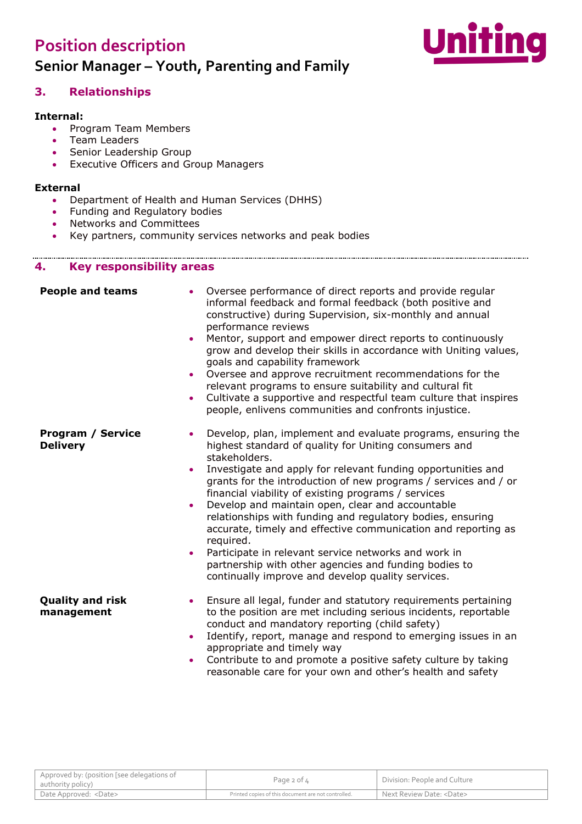## **Position description Senior Manager – Youth, Parenting and Family**



## **3. Relationships**

#### **Internal:**

- Program Team Members
- Team Leaders
- Senior Leadership Group
- Executive Officers and Group Managers

### **External**

. . . . . . . . . . . . . . . . . .

- Department of Health and Human Services (DHHS)
- Funding and Regulatory bodies
- Networks and Committees
- Key partners, community services networks and peak bodies

### **4. Key responsibility areas**

| <b>People and teams</b><br>$\bullet$<br>$\bullet$<br>$\bullet$<br>$\bullet$                     | Oversee performance of direct reports and provide regular<br>informal feedback and formal feedback (both positive and<br>constructive) during Supervision, six-monthly and annual<br>performance reviews<br>Mentor, support and empower direct reports to continuously<br>grow and develop their skills in accordance with Uniting values,<br>goals and capability framework<br>Oversee and approve recruitment recommendations for the<br>relevant programs to ensure suitability and cultural fit<br>Cultivate a supportive and respectful team culture that inspires<br>people, enlivens communities and confronts injustice.                                                                       |
|-------------------------------------------------------------------------------------------------|--------------------------------------------------------------------------------------------------------------------------------------------------------------------------------------------------------------------------------------------------------------------------------------------------------------------------------------------------------------------------------------------------------------------------------------------------------------------------------------------------------------------------------------------------------------------------------------------------------------------------------------------------------------------------------------------------------|
| <b>Program / Service</b><br>$\bullet$<br><b>Delivery</b><br>$\bullet$<br>$\bullet$<br>$\bullet$ | Develop, plan, implement and evaluate programs, ensuring the<br>highest standard of quality for Uniting consumers and<br>stakeholders.<br>Investigate and apply for relevant funding opportunities and<br>grants for the introduction of new programs / services and / or<br>financial viability of existing programs / services<br>Develop and maintain open, clear and accountable<br>relationships with funding and regulatory bodies, ensuring<br>accurate, timely and effective communication and reporting as<br>required.<br>Participate in relevant service networks and work in<br>partnership with other agencies and funding bodies to<br>continually improve and develop quality services. |
| <b>Quality and risk</b><br>$\bullet$<br>management<br>$\bullet$<br>$\bullet$                    | Ensure all legal, funder and statutory requirements pertaining<br>to the position are met including serious incidents, reportable<br>conduct and mandatory reporting (child safety)<br>Identify, report, manage and respond to emerging issues in an<br>appropriate and timely way<br>Contribute to and promote a positive safety culture by taking<br>reasonable care for your own and other's health and safety                                                                                                                                                                                                                                                                                      |

| Approved by: (position [see delegations of<br>authority policy) | Page $2$ of $4$                                     | Division: People and Culture    |
|-----------------------------------------------------------------|-----------------------------------------------------|---------------------------------|
| Date Approved: <date></date>                                    | Printed copies of this document are not controlled. | Next Review Date: <date></date> |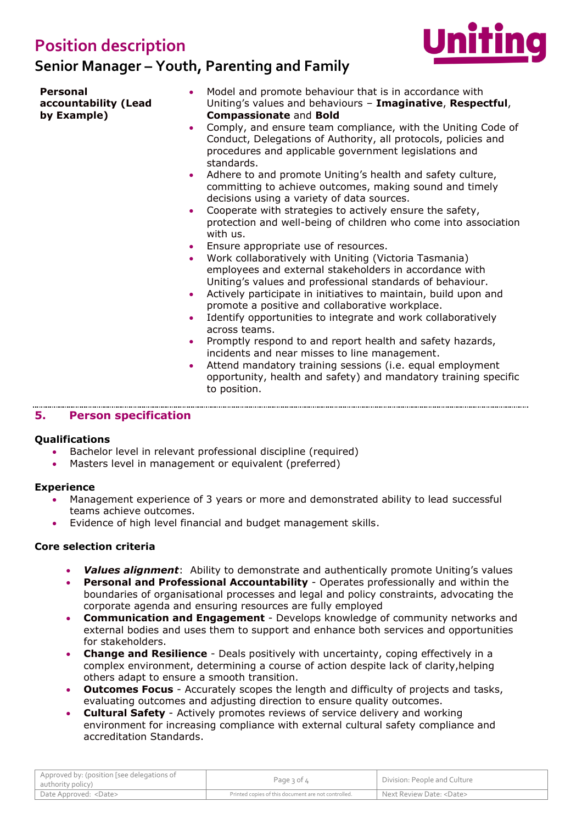## **Position description**

## **Senior Manager – Youth, Parenting and Family**



**Personal accountability (Lead by Example)**

- Model and promote behaviour that is in accordance with Uniting's values and behaviours – **Imaginative**, **Respectful**, **Compassionate** and **Bold**
- Comply, and ensure team compliance, with the Uniting Code of Conduct, Delegations of Authority, all protocols, policies and procedures and applicable government legislations and standards.
- Adhere to and promote Uniting's health and safety culture, committing to achieve outcomes, making sound and timely decisions using a variety of data sources.
- Cooperate with strategies to actively ensure the safety, protection and well-being of children who come into association with us.
- Ensure appropriate use of resources.
- Work collaboratively with Uniting (Victoria Tasmania) employees and external stakeholders in accordance with Uniting's values and professional standards of behaviour.
- Actively participate in initiatives to maintain, build upon and promote a positive and collaborative workplace.
- Identify opportunities to integrate and work collaboratively across teams.
- Promptly respond to and report health and safety hazards, incidents and near misses to line management.
- Attend mandatory training sessions (i.e. equal employment opportunity, health and safety) and mandatory training specific to position.

## **5. Person specification**

## **Qualifications**

- Bachelor level in relevant professional discipline (required)
- Masters level in management or equivalent (preferred)

## **Experience**

- Management experience of 3 years or more and demonstrated ability to lead successful teams achieve outcomes.
- Evidence of high level financial and budget management skills.

## **Core selection criteria**

- *Values alignment*: Ability to demonstrate and authentically promote Uniting's values
- **Personal and Professional Accountability** Operates professionally and within the boundaries of organisational processes and legal and policy constraints, advocating the corporate agenda and ensuring resources are fully employed
- **Communication and Engagement** Develops knowledge of community networks and external bodies and uses them to support and enhance both services and opportunities for stakeholders.
- **Change and Resilience** Deals positively with uncertainty, coping effectively in a complex environment, determining a course of action despite lack of clarity,helping others adapt to ensure a smooth transition.
- **Outcomes Focus** Accurately scopes the length and difficulty of projects and tasks, evaluating outcomes and adjusting direction to ensure quality outcomes.
- **Cultural Safety** Actively promotes reviews of service delivery and working environment for increasing compliance with external cultural safety compliance and accreditation Standards.

| Approved by: (position [see delegations of<br>authority policy) | Page 3 of 4                                         | Division: People and Culture    |
|-----------------------------------------------------------------|-----------------------------------------------------|---------------------------------|
| Date Approved: <date></date>                                    | Printed copies of this document are not controlled. | Next Review Date: <date></date> |